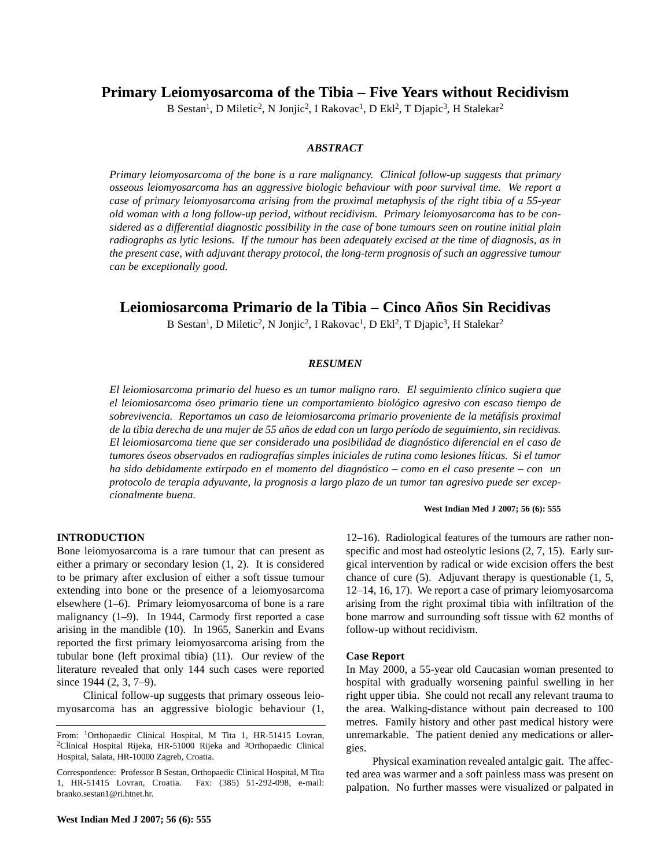**Primary Leiomyosarcoma of the Tibia – Five Years without Recidivism**

B Sestan<sup>1</sup>, D Miletic<sup>2</sup>, N Jonjic<sup>2</sup>, I Rakovac<sup>1</sup>, D Ekl<sup>2</sup>, T Djapic<sup>3</sup>, H Stalekar<sup>2</sup>

# *ABSTRACT*

*Primary leiomyosarcoma of the bone is a rare malignancy. Clinical follow-up suggests that primary osseous leiomyosarcoma has an aggressive biologic behaviour with poor survival time. We report a case of primary leiomyosarcoma arising from the proximal metaphysis of the right tibia of a 55-year old woman with a long follow-up period, without recidivism. Primary leiomyosarcoma has to be considered as a differential diagnostic possibility in the case of bone tumours seen on routine initial plain radiographs as lytic lesions. If the tumour has been adequately excised at the time of diagnosis, as in the present case, with adjuvant therapy protocol, the long-term prognosis of such an aggressive tumour can be exceptionally good.*

# **Leiomiosarcoma Primario de la Tibia – Cinco Años Sin Recidivas**

B Sestan<sup>1</sup>, D Miletic<sup>2</sup>, N Jonjic<sup>2</sup>, I Rakovac<sup>1</sup>, D Ekl<sup>2</sup>, T Djapic<sup>3</sup>, H Stalekar<sup>2</sup>

#### *RESUMEN*

*El leiomiosarcoma primario del hueso es un tumor maligno raro. El seguimiento clínico sugiera que el leiomiosarcoma óseo primario tiene un comportamiento biológico agresivo con escaso tiempo de sobrevivencia. Reportamos un caso de leiomiosarcoma primario proveniente de la metáfisis proximal de la tibia derecha de una mujer de 55 años de edad con un largo período de seguimiento, sin recidivas. El leiomiosarcoma tiene que ser considerado una posibilidad de diagnóstico diferencial en el caso de tumores óseos observados en radiografías simples iniciales de rutina como lesiones líticas. Si el tumor ha sido debidamente extirpado en el momento del diagnóstico – como en el caso presente – con un protocolo de terapia adyuvante, la prognosis a largo plazo de un tumor tan agresivo puede ser excepcionalmente buena.*

## **West Indian Med J 2007; 56 (6): 555**

## **INTRODUCTION**

Bone leiomyosarcoma is a rare tumour that can present as either a primary or secondary lesion (1, 2). It is considered to be primary after exclusion of either a soft tissue tumour extending into bone or the presence of a leiomyosarcoma elsewhere (1–6). Primary leiomyosarcoma of bone is a rare malignancy (1–9). In 1944, Carmody first reported a case arising in the mandible (10). In 1965, Sanerkin and Evans reported the first primary leiomyosarcoma arising from the tubular bone (left proximal tibia) (11). Our review of the literature revealed that only 144 such cases were reported since 1944 (2, 3, 7–9).

Clinical follow-up suggests that primary osseous leiomyosarcoma has an aggressive biologic behaviour (1,

**West Indian Med J 2007; 56 (6): 555**

12–16). Radiological features of the tumours are rather nonspecific and most had osteolytic lesions  $(2, 7, 15)$ . Early surgical intervention by radical or wide excision offers the best chance of cure (5). Adjuvant therapy is questionable (1, 5, 12–14, 16, 17). We report a case of primary leiomyosarcoma arising from the right proximal tibia with infiltration of the bone marrow and surrounding soft tissue with 62 months of follow-up without recidivism.

## **Case Report**

In May 2000, a 55-year old Caucasian woman presented to hospital with gradually worsening painful swelling in her right upper tibia. She could not recall any relevant trauma to the area. Walking-distance without pain decreased to 100 metres. Family history and other past medical history were unremarkable. The patient denied any medications or allergies.

Physical examination revealed antalgic gait. The affected area was warmer and a soft painless mass was present on palpation. No further masses were visualized or palpated in

From: <sup>1</sup>Orthopaedic Clinical Hospital, M Tita 1, HR-51415 Lovran, <sup>2</sup>Clinical Hospital Rijeka, HR-51000 Rijeka and <sup>3</sup>Orthopaedic Clinical Hospital, Salata, HR-10000 Zagreb, Croatia.

Correspondence: Professor B Sestan, Orthopaedic Clinical Hospital, M Tita 1, HR-51415 Lovran, Croatia. Fax: (385) 51-292-098, e-mail: branko.sestan1@ri.htnet.hr.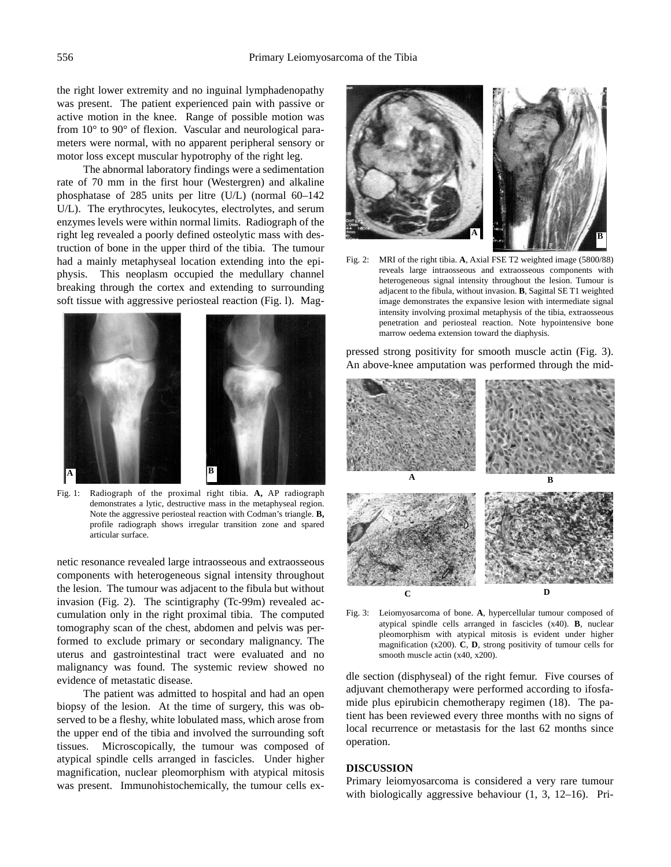the right lower extremity and no inguinal lymphadenopathy was present. The patient experienced pain with passive or active motion in the knee. Range of possible motion was from 10° to 90° of flexion. Vascular and neurological parameters were normal, with no apparent peripheral sensory or motor loss except muscular hypotrophy of the right leg.

The abnormal laboratory findings were a sedimentation rate of 70 mm in the first hour (Westergren) and alkaline phosphatase of 285 units per litre (U/L) (normal 60–142 U/L). The erythrocytes, leukocytes, electrolytes, and serum enzymes levels were within normal limits. Radiograph of the right leg revealed a poorly defined osteolytic mass with destruction of bone in the upper third of the tibia. The tumour had a mainly metaphyseal location extending into the epiphysis. This neoplasm occupied the medullary channel breaking through the cortex and extending to surrounding soft tissue with aggressive periosteal reaction (Fig. l). Mag-



Fig. 1: Radiograph of the proximal right tibia. **A,** AP radiograph demonstrates a lytic, destructive mass in the metaphyseal region. Note the aggressive periosteal reaction with Codman's triangle. **B,** profile radiograph shows irregular transition zone and spared articular surface.

netic resonance revealed large intraosseous and extraosseous components with heterogeneous signal intensity throughout the lesion. The tumour was adjacent to the fibula but without invasion (Fig. 2). The scintigraphy (Tc-99m) revealed accumulation only in the right proximal tibia. The computed tomography scan of the chest, abdomen and pelvis was performed to exclude primary or secondary malignancy. The uterus and gastrointestinal tract were evaluated and no malignancy was found. The systemic review showed no evidence of metastatic disease.

The patient was admitted to hospital and had an open biopsy of the lesion. At the time of surgery, this was observed to be a fleshy, white lobulated mass, which arose from the upper end of the tibia and involved the surrounding soft tissues. Microscopically, the tumour was composed of atypical spindle cells arranged in fascicles. Under higher magnification, nuclear pleomorphism with atypical mitosis was present. Immunohistochemically, the tumour cells ex-



Fig. 2: MRI of the right tibia. **A**, Axial FSE T2 weighted image (5800/88) reveals large intraosseous and extraosseous components with heterogeneous signal intensity throughout the lesion. Tumour is adjacent to the fibula, without invasion. **B**, Sagittal SE T1 weighted image demonstrates the expansive lesion with intermediate signal intensity involving proximal metaphysis of the tibia, extraosseous penetration and periosteal reaction. Note hypointensive bone marrow oedema extension toward the diaphysis.

pressed strong positivity for smooth muscle actin (Fig. 3). An above-knee amputation was performed through the mid-



Fig. 3: Leiomyosarcoma of bone. **A**, hypercellular tumour composed of atypical spindle cells arranged in fascicles (x40). **B**, nuclear pleomorphism with atypical mitosis is evident under higher magnification (x200). **C**, **D**, strong positivity of tumour cells for smooth muscle actin (x40, x200).

dle section (disphyseal) of the right femur. Five courses of adjuvant chemotherapy were performed according to ifosfamide plus epirubicin chemotherapy regimen (18). The patient has been reviewed every three months with no signs of local recurrence or metastasis for the last 62 months since operation.

## **DISCUSSION**

Primary leiomyosarcoma is considered a very rare tumour with biologically aggressive behaviour (1, 3, 12–16). Pri